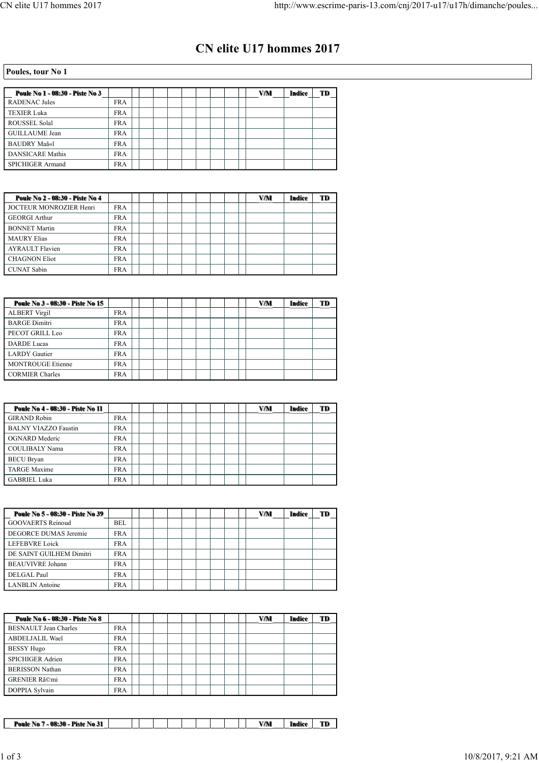## **CN elite U17 hommes 2017**

## **Poules, tour No 1**

| Poule No 1 - 08:30 - Piste No 3 |            |  |  |  |  | VM | Indice | TD |
|---------------------------------|------------|--|--|--|--|----|--------|----|
| <b>RADENAC Jules</b>            | FR A       |  |  |  |  |    |        |    |
| <b>TEXIER Luka</b>              | FR A       |  |  |  |  |    |        |    |
| <b>ROUSSEL Solal</b>            | <b>FRA</b> |  |  |  |  |    |        |    |
| <b>GUILLAUME Jean</b>           | <b>FRA</b> |  |  |  |  |    |        |    |
| <b>BAUDRY Maã«l</b>             | <b>FRA</b> |  |  |  |  |    |        |    |
| <b>DANSICARE Mathis</b>         | FR A       |  |  |  |  |    |        |    |
| <b>SPICHIGER Armand</b>         | <b>FRA</b> |  |  |  |  |    |        |    |

| Poule No 2 - 08:30 - Piste No 4 |            |  |  |  |  | VM | Indice | TD |
|---------------------------------|------------|--|--|--|--|----|--------|----|
| JOCTEUR MONROZIER Henri         | <b>FRA</b> |  |  |  |  |    |        |    |
| <b>GEORGI Arthur</b>            | <b>FRA</b> |  |  |  |  |    |        |    |
| <b>BONNET Martin</b>            | <b>FRA</b> |  |  |  |  |    |        |    |
| <b>MAURY Elias</b>              | <b>FRA</b> |  |  |  |  |    |        |    |
| <b>AYRAULT Flavien</b>          | <b>FRA</b> |  |  |  |  |    |        |    |
| <b>CHAGNON Eliot</b>            | <b>FRA</b> |  |  |  |  |    |        |    |
| <b>CUNAT Sabin</b>              | <b>FRA</b> |  |  |  |  |    |        |    |

| Poule No 3 - 08:30 - Piste No 15 |            |  |  |  |  | VM | Indice | TD |
|----------------------------------|------------|--|--|--|--|----|--------|----|
| <b>ALBERT Virgil</b>             | <b>FRA</b> |  |  |  |  |    |        |    |
| <b>BARGE Dimitri</b>             | <b>FRA</b> |  |  |  |  |    |        |    |
| PECOT GRILL Leo                  | <b>FRA</b> |  |  |  |  |    |        |    |
| <b>DARDE Lucas</b>               | <b>FRA</b> |  |  |  |  |    |        |    |
| LARDY Gautier                    | <b>FRA</b> |  |  |  |  |    |        |    |
| <b>MONTROUGE Etienne</b>         | FR A       |  |  |  |  |    |        |    |
| <b>CORMIER Charles</b>           | FR A       |  |  |  |  |    |        |    |

| Poule No 4 - 08:30 - Piste No 11 |            |  |  |  |  | VM | Indice | TD |
|----------------------------------|------------|--|--|--|--|----|--------|----|
| <b>GIRAND Robin</b>              | <b>FRA</b> |  |  |  |  |    |        |    |
| <b>BALNY VIAZZO Faustin</b>      | FR A       |  |  |  |  |    |        |    |
| OGNARD Mederic                   | FR A       |  |  |  |  |    |        |    |
| COULIBALY Nama                   | <b>FRA</b> |  |  |  |  |    |        |    |
| <b>BECU Bryan</b>                | <b>FRA</b> |  |  |  |  |    |        |    |
| <b>TARGE Maxime</b>              | FR A       |  |  |  |  |    |        |    |
| <b>GABRIEL Luka</b>              | <b>FRA</b> |  |  |  |  |    |        |    |

| Poule No 5 - 08:30 - Piste No 39 |            |  |  |  |  | VM | Indice | TD |
|----------------------------------|------------|--|--|--|--|----|--------|----|
| <b>GOOVAERTS Reinoud</b>         | BEL        |  |  |  |  |    |        |    |
| DEGORCE DUMAS Jeremie            | FR A       |  |  |  |  |    |        |    |
| <b>LEFEBVRE Loick</b>            | FR A       |  |  |  |  |    |        |    |
| DE SAINT GUILHEM Dimitri         | FR A       |  |  |  |  |    |        |    |
| <b>BEAUVIVRE</b> Johann          | <b>FRA</b> |  |  |  |  |    |        |    |
| DELGAL Paul                      | <b>FRA</b> |  |  |  |  |    |        |    |
| LANBLIN Antoine                  | <b>FRA</b> |  |  |  |  |    |        |    |

| <b>Poule No 6 - 08:30 - Piste No 8</b> |            |  |  |  |  | VM | Indice | TD |
|----------------------------------------|------------|--|--|--|--|----|--------|----|
| <b>BESNAULT</b> Jean Charles           | <b>FRA</b> |  |  |  |  |    |        |    |
| <b>ABDELJALIL Wael</b>                 | FR A       |  |  |  |  |    |        |    |
| <b>BESSY Hugo</b>                      | <b>FRA</b> |  |  |  |  |    |        |    |
| <b>SPICHIGER Adrien</b>                | <b>FRA</b> |  |  |  |  |    |        |    |
| <b>BERISSON Nathan</b>                 | <b>FRA</b> |  |  |  |  |    |        |    |
| <b>GRENIER RãOmi</b>                   | <b>FRA</b> |  |  |  |  |    |        |    |
| DOPPIA Sylvain                         | <b>FRA</b> |  |  |  |  |    |        |    |

|  |  |  |  |  | <b>AZAM</b> | Indice | <b>CONTRACTOR</b> |
|--|--|--|--|--|-------------|--------|-------------------|
|  |  |  |  |  |             |        |                   |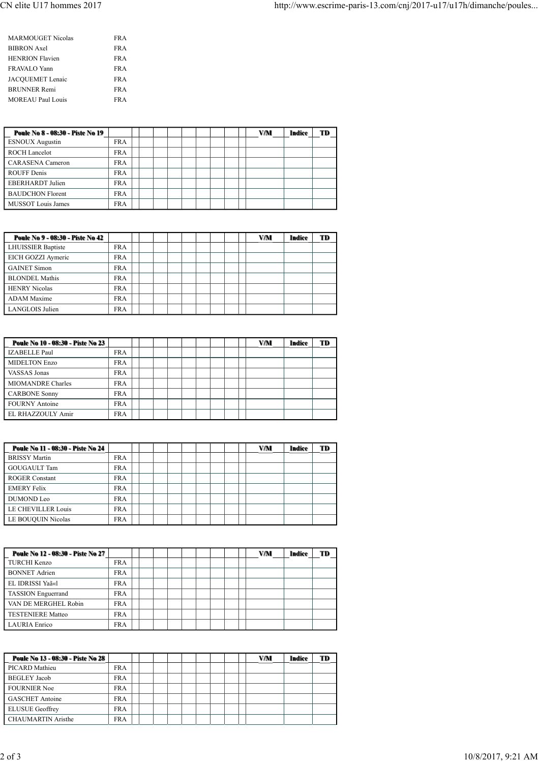| <b>MARMOUGET Nicolas</b> | FR A |
|--------------------------|------|
| <b>BIBRON</b> Axel       | FR A |
| <b>HENRION Flavien</b>   | FR A |
| FRAVALO Yann             | FR A |
| JACOUEMET Lenaic         | FR A |
| <b>BRUNNER Remi</b>      | FR A |
| <b>MOREAU Paul Louis</b> | FR A |

| Poule No 8 - 08:30 - Piste No 19 |            |  |  |  |  | VM | Indice | TD |
|----------------------------------|------------|--|--|--|--|----|--------|----|
| <b>ESNOUX</b> Augustin           | <b>FRA</b> |  |  |  |  |    |        |    |
| <b>ROCH Lancelot</b>             | <b>FRA</b> |  |  |  |  |    |        |    |
| <b>CARASENA Cameron</b>          | <b>FRA</b> |  |  |  |  |    |        |    |
| <b>ROUFF Denis</b>               | FR A       |  |  |  |  |    |        |    |
| <b>EBERHARDT</b> Julien          | <b>FRA</b> |  |  |  |  |    |        |    |
| <b>BAUDCHON Florent</b>          | <b>FRA</b> |  |  |  |  |    |        |    |
| MUSSOT Louis James               | <b>FRA</b> |  |  |  |  |    |        |    |

| Poule No 9 - 08:30 - Piste No 42 |            |  |  |  |  | VM | Indice | TD |
|----------------------------------|------------|--|--|--|--|----|--------|----|
| <b>LHUISSIER Baptiste</b>        | <b>FRA</b> |  |  |  |  |    |        |    |
| EICH GOZZI Aymeric               | <b>FRA</b> |  |  |  |  |    |        |    |
| <b>GAINET Simon</b>              | <b>FRA</b> |  |  |  |  |    |        |    |
| <b>BLONDEL Mathis</b>            | <b>FRA</b> |  |  |  |  |    |        |    |
| <b>HENRY Nicolas</b>             | <b>FRA</b> |  |  |  |  |    |        |    |
| <b>ADAM</b> Maxime               | <b>FRA</b> |  |  |  |  |    |        |    |
| LANGLOIS Julien                  | <b>FRA</b> |  |  |  |  |    |        |    |

| Poule No 10 - 08:30 - Piste No 23 |            |  |  |  |  | VM | Indice | TD |
|-----------------------------------|------------|--|--|--|--|----|--------|----|
| <b>IZABELLE Paul</b>              | <b>FRA</b> |  |  |  |  |    |        |    |
| <b>MIDELTON Enzo</b>              | <b>FRA</b> |  |  |  |  |    |        |    |
| VASSAS Jonas                      | <b>FRA</b> |  |  |  |  |    |        |    |
| <b>MIOMANDRE Charles</b>          | <b>FRA</b> |  |  |  |  |    |        |    |
| <b>CARBONE Sonny</b>              | <b>FRA</b> |  |  |  |  |    |        |    |
| <b>FOURNY Antoine</b>             | <b>FRA</b> |  |  |  |  |    |        |    |
| EL RHAZZOULY Amir                 | <b>FRA</b> |  |  |  |  |    |        |    |

| Poule No 11 - 08:30 - Piste No 24 |            |  |  |  |  | VM | Indice | TD |
|-----------------------------------|------------|--|--|--|--|----|--------|----|
| <b>BRISSY Martin</b>              | <b>FRA</b> |  |  |  |  |    |        |    |
| <b>GOUGAULT Tam</b>               | <b>FRA</b> |  |  |  |  |    |        |    |
| <b>ROGER Constant</b>             | FR A       |  |  |  |  |    |        |    |
| <b>EMERY Felix</b>                | <b>FRA</b> |  |  |  |  |    |        |    |
| DUMOND Leo                        | FR A       |  |  |  |  |    |        |    |
| LE CHEVILLER Louis                | FR A       |  |  |  |  |    |        |    |
| LE BOUQUIN Nicolas                | <b>FRA</b> |  |  |  |  |    |        |    |

| Poule No 12 - 08:30 - Piste No 27 |            |  |  |  |  | VM | Indice | TD |
|-----------------------------------|------------|--|--|--|--|----|--------|----|
| <b>TURCHI Kenzo</b>               | <b>FRA</b> |  |  |  |  |    |        |    |
| <b>BONNET Adrien</b>              | <b>FRA</b> |  |  |  |  |    |        |    |
| EL IDRISSI Yaã«l                  | <b>FRA</b> |  |  |  |  |    |        |    |
| <b>TASSION</b> Enguerrand         | FR A       |  |  |  |  |    |        |    |
| VAN DE MERGHEL Robin              | FR A       |  |  |  |  |    |        |    |
| <b>TESTENIERE Matteo</b>          | <b>FRA</b> |  |  |  |  |    |        |    |
| <b>LAURIA</b> Enrico              | <b>FRA</b> |  |  |  |  |    |        |    |

| Poule No 13 - 08:30 - Piste No 28 |            |  |  |  |  | VM | <b>Indice</b> | TD |
|-----------------------------------|------------|--|--|--|--|----|---------------|----|
| PICARD Mathieu                    | <b>FRA</b> |  |  |  |  |    |               |    |
| <b>BEGLEY</b> Jacob               | <b>FRA</b> |  |  |  |  |    |               |    |
| <b>FOURNIER Noe</b>               | FR A       |  |  |  |  |    |               |    |
| <b>GASCHET</b> Antoine            | <b>FRA</b> |  |  |  |  |    |               |    |
| <b>ELUSUE</b> Geoffrey            | FR A       |  |  |  |  |    |               |    |
| <b>CHAUMARTIN Aristhe</b>         | <b>FRA</b> |  |  |  |  |    |               |    |